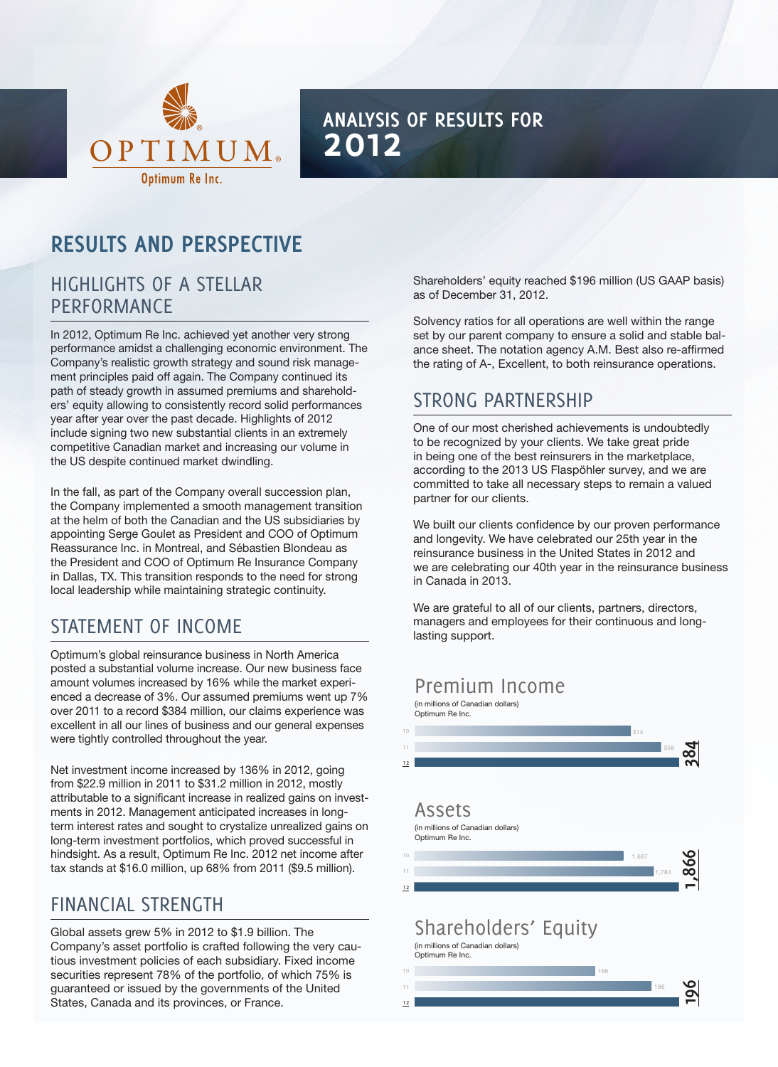

## **Analysis of Results for 2012**

## **Results and Perspective**

## Highlights of a stellar **PERFORMANCE**

In 2012, Optimum Re Inc. achieved yet another very strong performance amidst a challenging economic environment. The Company's realistic growth strategy and sound risk management principles paid off again. The Company continued its path of steady growth in assumed premiums and shareholders' equity allowing to consistently record solid performances year after year over the past decade. Highlights of 2012 include signing two new substantial clients in an extremely competitive Canadian market and increasing our volume in the US despite continued market dwindling.

In the fall, as part of the Company overall succession plan, the Company implemented a smooth management transition at the helm of both the Canadian and the US subsidiaries by appointing Serge Goulet as President and COO of Optimum Reassurance Inc. in Montreal, and Sébastien Blondeau as the President and COO of Optimum Re Insurance Company in Dallas, TX. This transition responds to the need for strong local leadership while maintaining strategic continuity.

## Statement of income

Optimum's global reinsurance business in North America posted a substantial volume increase. Our new business face amount volumes increased by 16% while the market experienced a decrease of 3%. Our assumed premiums went up 7% over 2011 to a record \$384 million, our claims experience was excellent in all our lines of business and our general expenses were tightly controlled throughout the year.

Net investment income increased by 136% in 2012, going from \$22.9 million in 2011 to \$31.2 million in 2012, mostly attributable to a significant increase in realized gains on investments in 2012. Management anticipated increases in longterm interest rates and sought to crystalize unrealized gains on long-term investment portfolios, which proved successful in hindsight. As a result, Optimum Re Inc. 2012 net income after tax stands at \$16.0 million, up 68% from 2011 (\$9.5 million).

## FINANCIAL STRENGTH

Global assets grew 5% in 2012 to \$1.9 billion. The Company's asset portfolio is crafted following the very cautious investment policies of each subsidiary. Fixed income securities represent 78% of the portfolio, of which 75% is guaranteed or issued by the governments of the United States, Canada and its provinces, or France.

Shareholders' equity reached \$196 million (US GAAP basis) as of December 31, 2012.

Solvency ratios for all operations are well within the range set by our parent company to ensure a solid and stable balance sheet. The notation agency A.M. Best also re-affirmed the rating of A-, Excellent, to both reinsurance operations.

## Strong Partnership

One of our most cherished achievements is undoubtedly to be recognized by your clients. We take great pride in being one of the best reinsurers in the marketplace, according to the 2013 US Flaspöhler survey, and we are committed to take all necessary steps to remain a valued partner for our clients.

We built our clients confidence by our proven performance and longevity. We have celebrated our 25th year in the reinsurance business in the United States in 2012 and we are celebrating our 40th year in the reinsurance business in Canada in 2013.

We are grateful to all of our clients, partners, directors, managers and employees for their continuous and longlasting support.

### Premium Income

(in millions of Canadian dollars)

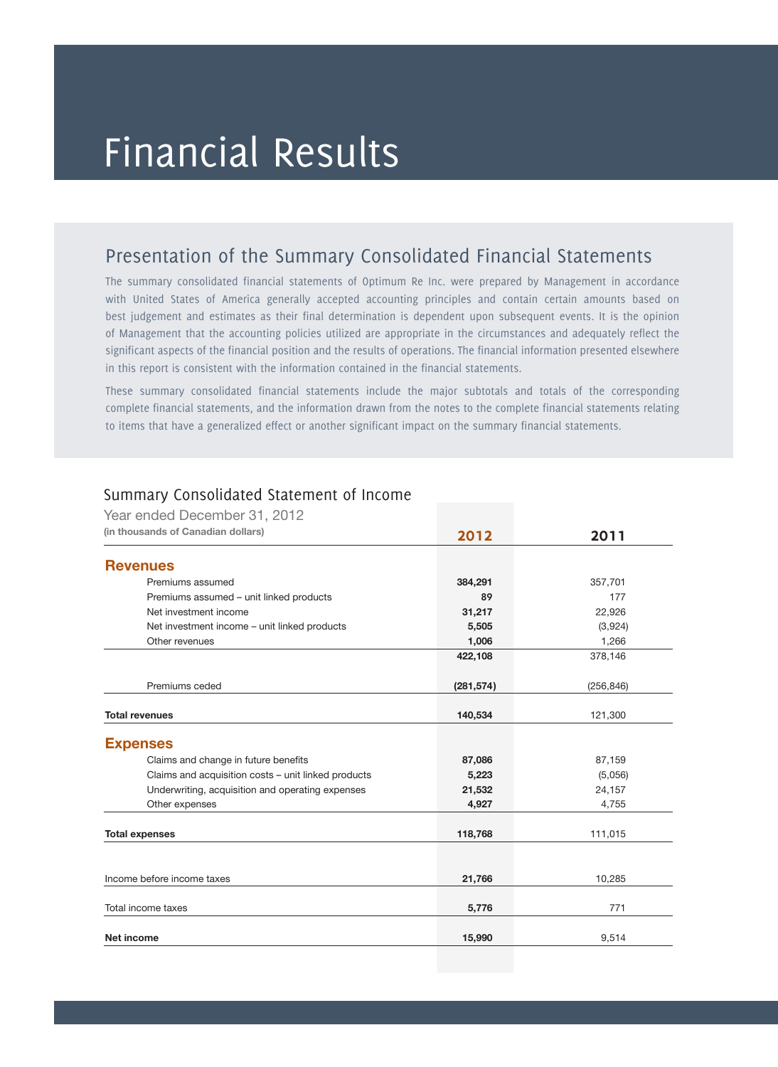## Financial Results

## Presentation of the Summary Consolidated Financial Statements

The summary consolidated financial statements of Optimum Re Inc. were prepared by Management in accordance with United States of America generally accepted accounting principles and contain certain amounts based on best judgement and estimates as their final determination is dependent upon subsequent events. It is the opinion of Management that the accounting policies utilized are appropriate in the circumstances and adequately reflect the significant aspects of the financial position and the results of operations. The financial information presented elsewhere in this report is consistent with the information contained in the financial statements.

These summary consolidated financial statements include the major subtotals and totals of the corresponding complete financial statements, and the information drawn from the notes to the complete financial statements relating to items that have a generalized effect or another significant impact on the summary financial statements.

| Year ended December 31, 2012                        |            |            |
|-----------------------------------------------------|------------|------------|
| (in thousands of Canadian dollars)                  | 2012       | 2011       |
| <b>Revenues</b>                                     |            |            |
| Premiums assumed                                    | 384,291    | 357,701    |
| Premiums assumed - unit linked products             | 89         | 177        |
| Net investment income                               | 31,217     | 22,926     |
| Net investment income – unit linked products        | 5,505      | (3,924)    |
| Other revenues                                      | 1,006      | 1,266      |
|                                                     | 422,108    | 378,146    |
|                                                     |            |            |
| Premiums ceded                                      | (281, 574) | (256, 846) |
|                                                     |            |            |
| <b>Total revenues</b>                               | 140,534    | 121,300    |
|                                                     |            |            |
| <b>Expenses</b>                                     |            |            |
| Claims and change in future benefits                | 87,086     | 87,159     |
| Claims and acquisition costs - unit linked products | 5,223      | (5,056)    |
| Underwriting, acquisition and operating expenses    | 21,532     | 24,157     |
| Other expenses                                      | 4,927      | 4,755      |
|                                                     |            |            |
| <b>Total expenses</b>                               | 118,768    | 111,015    |
|                                                     |            |            |
| Income before income taxes                          | 21,766     | 10,285     |
|                                                     |            |            |
| Total income taxes                                  | 5,776      | 771        |
|                                                     |            |            |
| <b>Net income</b>                                   | 15,990     | 9,514      |
|                                                     |            |            |

#### Summary Consolidated Statement of Income

 $Y$  end  $Y$  end  $Y$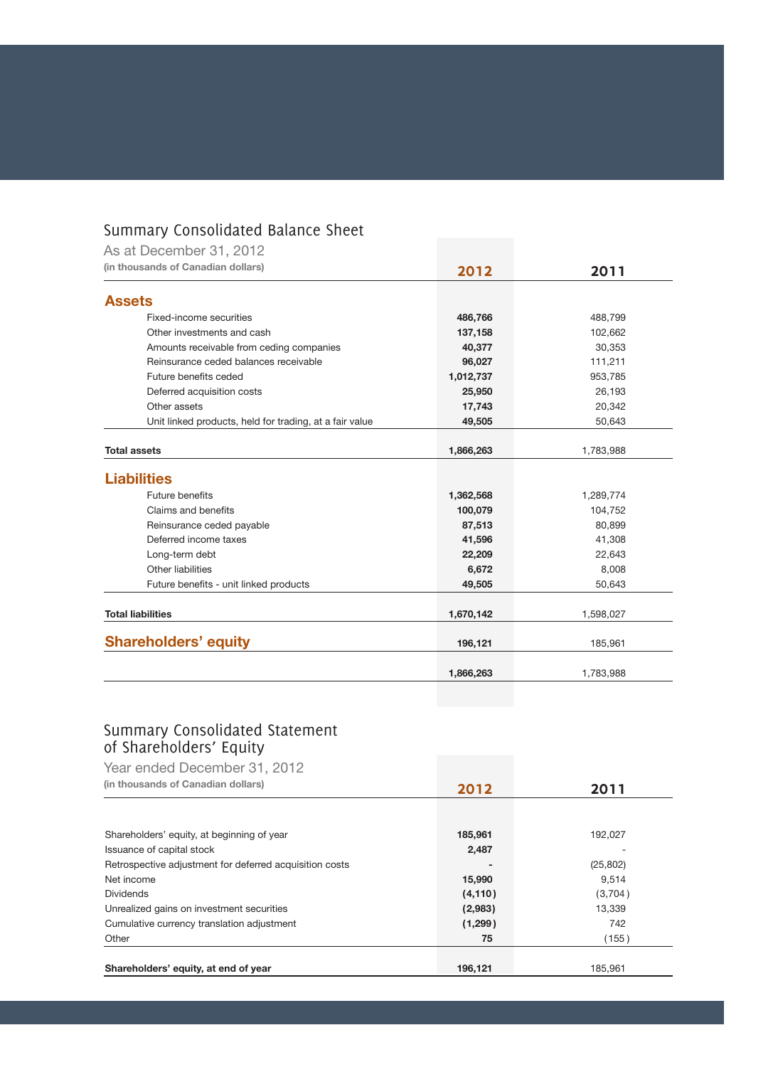## Summary Consolidated Balance Sheet

| As at December 31, 2012                                 |           |           |
|---------------------------------------------------------|-----------|-----------|
| (in thousands of Canadian dollars)                      | 2012      | 2011      |
| <b>Assets</b>                                           |           |           |
| Fixed-income securities                                 | 486,766   | 488,799   |
| Other investments and cash                              | 137,158   | 102,662   |
| Amounts receivable from ceding companies                | 40,377    | 30,353    |
| Reinsurance ceded balances receivable                   | 96,027    | 111,211   |
| Future benefits ceded                                   | 1,012,737 | 953,785   |
| Deferred acquisition costs                              | 25,950    | 26,193    |
| Other assets                                            | 17,743    | 20,342    |
| Unit linked products, held for trading, at a fair value | 49,505    | 50,643    |
|                                                         |           |           |
| <b>Total assets</b>                                     | 1,866,263 | 1,783,988 |
| <b>Liabilities</b>                                      |           |           |
| Future benefits                                         | 1,362,568 | 1,289,774 |
| Claims and benefits                                     | 100,079   | 104,752   |
| Reinsurance ceded payable                               | 87,513    | 80,899    |
| Deferred income taxes                                   | 41,596    | 41,308    |
| Long-term debt                                          | 22,209    | 22,643    |
| Other liabilities                                       | 6,672     | 8,008     |
| Future benefits - unit linked products                  | 49,505    | 50,643    |
|                                                         |           |           |
| <b>Total liabilities</b>                                | 1,670,142 | 1,598,027 |
| <b>Shareholders' equity</b>                             | 196,121   | 185,961   |
|                                                         | 1,866,263 | 1,783,988 |
|                                                         |           |           |

#### Summary Consolidated Statement of Shareholders' Equity

| Year ended December 31, 2012                            |          |           |
|---------------------------------------------------------|----------|-----------|
| (in thousands of Canadian dollars)                      | 2012     | 2011      |
|                                                         |          |           |
| Shareholders' equity, at beginning of year              | 185,961  | 192,027   |
| Issuance of capital stock                               | 2,487    |           |
| Retrospective adjustment for deferred acquisition costs |          | (25, 802) |
| Net income                                              | 15,990   | 9,514     |
| <b>Dividends</b>                                        | (4, 110) | (3,704)   |
| Unrealized gains on investment securities               | (2,983)  | 13,339    |
| Cumulative currency translation adjustment              | (1,299)  | 742       |
| Other                                                   | 75       | (155)     |
| Shareholders' equity, at end of year                    | 196.121  | 185.961   |